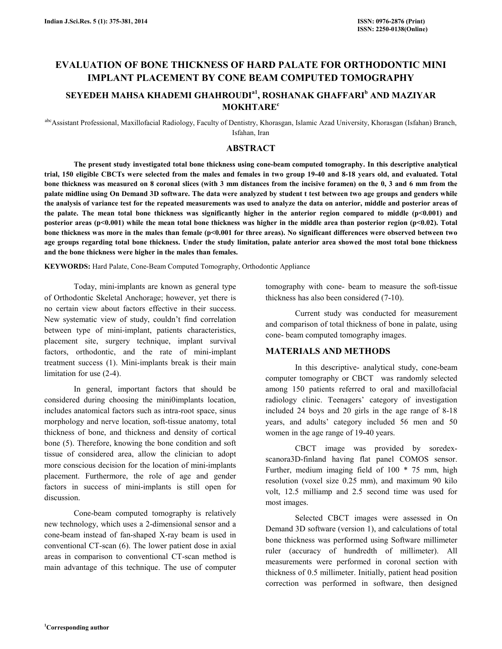# EVALUATION OF BONE THICKNESS OF HARD PALATE FOR ORTHODONTIC MINI IMPLANT PLACEMENT BY CONE BEAM COMPUTED TOMOGRAPHY

## SEYEDEH MAHSA KHADEMI GHAHROUDI<sup>a1</sup>, ROSHANAK GHAFFARI<sup>b</sup> AND MAZIYAR **MOKHTARE<sup>c</sup>**

abc Assistant Professional, Maxillofacial Radiology, Faculty of Dentistry, Khorasgan, Islamic Azad University, Khorasgan (Isfahan) Branch, Isfahan, Iran

### ABSTRACT

 The present study investigated total bone thickness using cone-beam computed tomography. In this descriptive analytical trial, 150 eligible CBCTs were selected from the males and females in two group 19-40 and 8-18 years old, and evaluated. Total bone thickness was measured on 8 coronal slices (with 3 mm distances from the incisive foramen) on the 0, 3 and 6 mm from the palate midline using On Demand 3D software. The data were analyzed by student t test between two age groups and genders while the analysis of variance test for the repeated measurements was used to analyze the data on anterior, middle and posterior areas of the palate. The mean total bone thickness was significantly higher in the anterior region compared to middle  $(p<0.001)$  and posterior areas (p<0.001) while the mean total bone thickness was higher in the middle area than posterior region (p<0.02). Total bone thickness was more in the males than female  $(p<0.001$  for three areas). No significant differences were observed between two age groups regarding total bone thickness. Under the study limitation, palate anterior area showed the most total bone thickness and the bone thickness were higher in the males than females.

KEYWORDS: Hard Palate, Cone-Beam Computed Tomography, Orthodontic Appliance

 Today, mini-implants are known as general type of Orthodontic Skeletal Anchorage; however, yet there is no certain view about factors effective in their success. New systematic view of study, couldn't find correlation between type of mini-implant, patients characteristics, placement site, surgery technique, implant survival factors, orthodontic, and the rate of mini-implant treatment success (1). Mini-implants break is their main limitation for use (2-4).

 In general, important factors that should be considered during choosing the mini0implants location, includes anatomical factors such as intra-root space, sinus morphology and nerve location, soft-tissue anatomy, total thickness of bone, and thickness and density of cortical bone (5). Therefore, knowing the bone condition and soft tissue of considered area, allow the clinician to adopt more conscious decision for the location of mini-implants placement. Furthermore, the role of age and gender factors in success of mini-implants is still open for discussion.

 Cone-beam computed tomography is relatively new technology, which uses a 2-dimensional sensor and a cone-beam instead of fan-shaped X-ray beam is used in conventional CT-scan (6). The lower patient dose in axial areas in comparison to conventional CT-scan method is main advantage of this technique. The use of computer tomography with cone- beam to measure the soft-tissue thickness has also been considered (7-10).

 Current study was conducted for measurement and comparison of total thickness of bone in palate, using cone- beam computed tomography images.

### MATERIALS AND METHODS

 In this descriptive- analytical study, cone-beam computer tomography or CBCT was randomly selected among 150 patients referred to oral and maxillofacial radiology clinic. Teenagers' category of investigation included 24 boys and 20 girls in the age range of 8-18 years, and adults' category included 56 men and 50 women in the age range of 19-40 years.

 CBCT image was provided by soredexscanora3D-finland having flat panel COMOS sensor. Further, medium imaging field of 100 \* 75 mm, high resolution (voxel size 0.25 mm), and maximum 90 kilo volt, 12.5 milliamp and 2.5 second time was used for most images.

 Selected CBCT images were assessed in On Demand 3D software (version 1), and calculations of total bone thickness was performed using Software millimeter ruler (accuracy of hundredth of millimeter). All measurements were performed in coronal section with thickness of 0.5 millimeter. Initially, patient head position correction was performed in software, then designed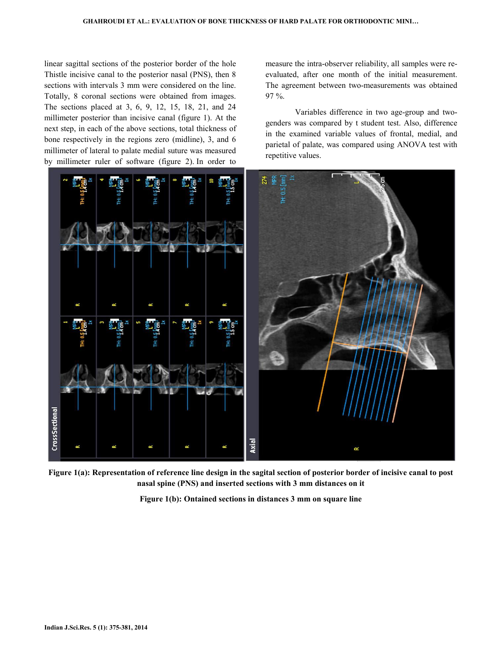linear sagittal sections of the posterior border of the hole Thistle incisive canal to the posterior nasal (PNS), then 8 sections with intervals 3 mm were considered on the line. Totally, 8 coronal sections were obtained from images. The sections placed at 3, 6, 9, 12, 15, 18, 21, and 24 millimeter posterior than incisive canal (figure 1). At the next step, in each of the above sections, total thickness of bone respectively in the regions zero (midline), 3, and 6 millimeter of lateral to palate medial suture was measured by millimeter ruler of software (figure 2). In order to

measure the intra-observer reliability, all samples were reevaluated, after one month of the initial measurement. The agreement between two-measurements was obtained 97 %.

 Variables difference in two age-group and twogenders was compared by t student test. Also, difference in the examined variable values of frontal, medial, and parietal of palate, was compared using ANOVA test with repetitive values.



Figure 1(a): Representation of reference line design in the sagital section of posterior border of incisive canal to post nasal spine (PNS) and inserted sections with 3 mm distances on it

Figure 1(b): Ontained sections in distances 3 mm on square line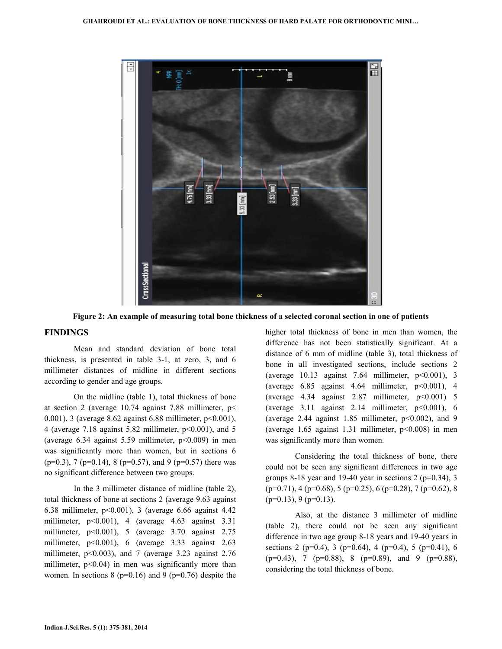

Figure 2: An example of measuring total bone thickness of a selected coronal section in one of patients

### FINDINGS

 Mean and standard deviation of bone total thickness, is presented in table 3-1, at zero, 3, and 6 millimeter distances of midline in different sections according to gender and age groups.

 On the midline (table 1), total thickness of bone at section 2 (average 10.74 against 7.88 millimeter, p< 0.001), 3 (average 8.62 against 6.88 millimeter, p<0.001), 4 (average 7.18 against 5.82 millimeter, p<0.001), and 5 (average  $6.34$  against  $5.59$  millimeter,  $p<0.009$ ) in men was significantly more than women, but in sections 6  $(p=0.3)$ , 7 (p=0.14), 8 (p=0.57), and 9 (p=0.57) there was no significant difference between two groups.

 In the 3 millimeter distance of midline (table 2), total thickness of bone at sections 2 (average 9.63 against 6.38 millimeter, p<0.001), 3 (average 6.66 against 4.42 millimeter, p<0.001), 4 (average 4.63 against 3.31 millimeter, p<0.001), 5 (average 3.70 against 2.75 millimeter, p<0.001), 6 (average 3.33 against 2.63 millimeter, p<0.003), and 7 (average 3.23 against 2.76 millimeter,  $p<0.04$ ) in men was significantly more than women. In sections  $8$  ( $p=0.16$ ) and  $9$  ( $p=0.76$ ) despite the higher total thickness of bone in men than women, the difference has not been statistically significant. At a distance of 6 mm of midline (table 3), total thickness of bone in all investigated sections, include sections 2 (average  $10.13$  against 7.64 millimeter,  $p<0.001$ ), 3 (average  $6.85$  against  $4.64$  millimeter,  $p<0.001$ ),  $4$ (average  $4.34$  against  $2.87$  millimeter,  $p<0.001$ ) 5 (average  $3.11$  against  $2.14$  millimeter,  $p<0.001$ ), 6 (average 2.44 against 1.85 millimeter,  $p<0.002$ ), and 9 (average  $1.65$  against  $1.31$  millimeter,  $p<0.008$ ) in men was significantly more than women.

 Considering the total thickness of bone, there could not be seen any significant differences in two age groups 8-18 year and 19-40 year in sections  $2$  (p=0.34), 3  $(p=0.71)$ , 4  $(p=0.68)$ , 5  $(p=0.25)$ , 6  $(p=0.28)$ , 7  $(p=0.62)$ , 8  $(p=0.13)$ , 9  $(p=0.13)$ .

 Also, at the distance 3 millimeter of midline (table 2), there could not be seen any significant difference in two age group 8-18 years and 19-40 years in sections 2 (p=0.4), 3 (p=0.64), 4 (p=0.4), 5 (p=0.41), 6  $(p=0.43)$ , 7  $(p=0.88)$ , 8  $(p=0.89)$ , and 9  $(p=0.88)$ , considering the total thickness of bone.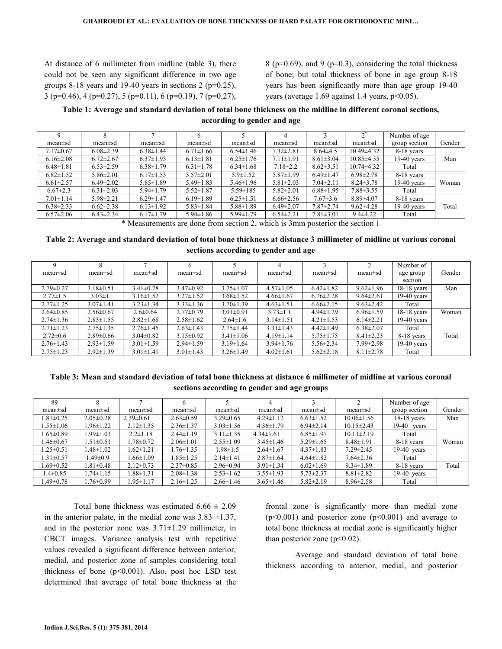At distance of 6 millimeter from midline (table 3), there could not be seen any significant difference in two age groups 8-18 years and 19-40 years in sections 2 ( $p=0.25$ ), 3 (p=0.46), 4 (p=0.27), 5 (p=0.11), 6 (p=0.19), 7 (p=0.27),

8 ( $p=0.69$ ), and 9 ( $p=0.3$ ), considering the total thickness of bone; but total thickness of bone in age group 8-18 years has been significantly more than age group 19-40 years (average 1.69 against 1.4 years, p<0.05).

### Table 1: Average and standard deviation of total bone thickness on the midline in different coronal sections, according to gender and age

|                 |                 |                 |                 |                 |                 |                 |                  | Number of age |        |
|-----------------|-----------------|-----------------|-----------------|-----------------|-----------------|-----------------|------------------|---------------|--------|
| $mean \pm sd$   | $mean \pm sd$   | $mean \pm sd$   | $mean \pm sd$   | $mean \pm sd$   | $mean \pm sd$   | $mean \pm sd$   | $mean \pm sd$    | group section | Gender |
| $7.17\pm0.67$   | $6.08 \pm 2.39$ | $6.38 \pm 1.44$ | $6.71 \pm 1.66$ | $6.54 \pm 1.46$ | $7.32 \pm 2.81$ | $8.64\pm4.5$    | $10.49 \pm 4.32$ | 8-18 years    |        |
| $6.16 \pm 2.08$ | $6.72 \pm 2.67$ | $6.37 \pm 1.93$ | $6.13 \pm 1.81$ | $6.25 \pm 1.76$ | $7.11 \pm 1.91$ | $8.61 \pm 3.04$ | $10.85 \pm 4.35$ | $19-40$ years | Man    |
| $6.48 \pm 1.81$ | $6.53 \pm 2.59$ | $6.38 \pm 1.79$ | $6.31 \pm 1.78$ | $6.34 \pm 1.68$ | $7.18 \pm 2.2$  | $8.62 \pm 3.51$ | $10.74\pm4.32$   | Total         |        |
| $6.82 \pm 1.52$ | $5.86 \pm 2.01$ | $6.17 \pm 1.53$ | $5.57 \pm 2.01$ | $5.9 \pm 1.52$  | $5.87 \pm 1.99$ | $6.49 \pm 1.47$ | $6.98 \pm 2.78$  | 8-18 years    |        |
| $6.61 \pm 2.57$ | $6.49 \pm 2.02$ | $5.85 \pm 1.89$ | $5.49 \pm 1.83$ | $5.46 \pm 1.96$ | $5.81 \pm 2.03$ | $7.04 \pm 2.11$ | $8.24 \pm 3.78$  | $19-40$ years | Woman  |
| $6.67 \pm 2.3$  | $6.31 \pm 2.03$ | $5.94 \pm 1.79$ | $5.52 \pm 1.87$ | $5.59 \pm 185$  | $5.82 \pm 2.01$ | $6.88 \pm 1.95$ | $7.88 \pm 3.55$  | Total         |        |
| $7.01 \pm 1.14$ | $5.98 \pm 2.21$ | $6.29 \pm 1.47$ | $6.19 \pm 1.89$ | $6.25 \pm 1.51$ | $6.66 \pm 2.56$ | $7.67 \pm 3.6$  | $8.89{\pm}4.07$  | 8-18 years    |        |
| $6.38 \pm 2.33$ | $6.62 \pm 2.38$ | $6.13 \pm 1.92$ | $5.83 \pm 1.84$ | $5.88 \pm 1.89$ | $6.49 \pm 2.07$ | $7.87 \pm 2.74$ | $9.62 \pm 4.28$  | 19-40 years   | Total  |
| $6.57 \pm 2.06$ | $6.43 \pm 2.34$ | $6.17 \pm 1.79$ | $5.94 \pm 1.86$ | $5.99 \pm 1.79$ | $6.54 \pm 2.21$ | $7.81 \pm 3.01$ | $9.4 \pm 4.22$   | Total         |        |

\* Measurements are done from section 2, which is 3mm posterior the section 1

### Table 2: Average and standard deviation of total bone thickness at distance 3 millimeter of midline at various coronal sections according to gender and age

|                 |                 |                 | <sub>t</sub>    |                 | 4               |                 |                 | Number of     |        |
|-----------------|-----------------|-----------------|-----------------|-----------------|-----------------|-----------------|-----------------|---------------|--------|
| $mean \pm sd$   | $mean \pm sd$   | $mean \pm sd$   | $mean \pm sd$   | $mean \pm sd$   | $mean \pm sd$   | $mean \pm sd$   | $mean \pm sd$   | age group     | Gender |
|                 |                 |                 |                 |                 |                 |                 |                 | section       |        |
| $2.79 \pm 0.27$ | $3.18 \pm 0.51$ | $3.41 \pm 0.78$ | $3.47\pm0.92$   | $3.75 \pm 1.07$ | $4.57 \pm 1.05$ | $6.42 \pm 1.82$ | $9.62 \pm 1.96$ | $18-18$ years | Man    |
| $2.77 \pm 1.5$  | $3.03 \pm 1.$   | $3.16 \pm 1.52$ | $3.27 \pm 1.52$ | $3.68 \pm 1.52$ | $4.66 \pm 1.67$ | $6.76 \pm 2.28$ | $9.64 \pm 2.61$ | $19-40$ years |        |
| $2.77 \pm 1.25$ | $3.07 \pm 1.41$ | $3.23 \pm 1.34$ | $3.33 \pm 1.36$ | $3.70 \pm 1.39$ | $4.63 \pm 1.51$ | $6.66 \pm 2.15$ | $9.63 \pm 2.42$ | Total         |        |
| $2.64 \pm 0.85$ | $2.56 \pm 0.67$ | $2.6 \pm 0.64$  | $2.77 \pm 0.79$ | $3.01 \pm 0.91$ | $3.73 \pm 1.1$  | $4.94 \pm 1.29$ | $6.96 \pm 1.59$ | $18-18$ years | Woman  |
| $2.74 \pm 1.36$ | $2.83 \pm 1.55$ | $2.82 \pm 1.68$ | $2.58 \pm 1.62$ | $2.64 \pm 1.6$  | $3.14 \pm 1.51$ | $4.21 \pm 1.53$ | $6.14\pm2.21$   | $19-40$ years |        |
| $2.71 \pm 1.23$ | $2.75 \pm 1.35$ | $2.76 \pm 1.45$ | $2.63 \pm 1.43$ | $2.75 \pm 1.44$ | $3.31 \pm 1.43$ | $4.42 \pm 1.49$ | $6.38 \pm 2.07$ | Total         |        |
| $2.72 \pm 0.6$  | $2.89 \pm 0.66$ | $3.04\pm0.82$   | $3.15 \pm 0.92$ | $3.41 \pm 1.06$ | $4.19 \pm 1.14$ | $5.75 \pm 1.75$ | $8.41 \pm 2.23$ | 8-18 years    | Total  |
| $2.76 \pm 1.43$ | $2.93 \pm 1.59$ | $3.01 \pm 1.59$ | $2.94 \pm 1.59$ | $3.19 \pm 1.64$ | $3.94 \pm 1.76$ | $5.56 \pm 2.34$ | $7.99 \pm 2.98$ | $19-40$ years |        |
| $2.75 \pm 1.23$ | $2.92 \pm 1.39$ | $3.01 \pm 1.41$ | $3.01 \pm 1.43$ | $3.26 \pm 1.49$ | $4.02 \pm 1.61$ | $5.62 \pm 2.18$ | $8.11 \pm 2.78$ | Total         |        |

Table 3: Mean and standard deviation of total bone thickness at distance 6 millimeter of midline at various coronal sections according to gender and age groups

|        | Number of age |                  |                 |                 |                 |                 |                 |                 | 89              |
|--------|---------------|------------------|-----------------|-----------------|-----------------|-----------------|-----------------|-----------------|-----------------|
| Gender | group section | $mean \pm sd$    | $mean \pm sd$   | mean±sd         | $mean \pm sd$   | $mean \pm sd$   | $mean \pm sd$   | $mean \pm sd$   | $mean \pm sd$   |
| Man    | $18-18$ years | $10.06 \pm 1.56$ | $6.63 \pm 1.52$ | $4.29 \pm 1.12$ | $3.29 \pm 0.65$ | $2.63 \pm 0.59$ | $2.39 \pm 0.61$ | $2.05 \pm 0.28$ | $1.87 \pm 0.25$ |
|        | $19-40$ vears | $10.15 \pm 2.43$ | $6.94 \pm 2.14$ | $4.36 \pm 1.79$ | $3.03 \pm 1.56$ | $2.36 \pm 1.37$ | $2.12 \pm 1.35$ | $1.96 \pm 1.22$ | $1.55 \pm 1.06$ |
|        | Total         | $10.13 \pm 2.19$ | $6.85 \pm 1.97$ | $4.34 \pm 1.61$ | $3.11 \pm 1.35$ | $2.44 \pm 1.19$ | $2.2 \pm 1.18$  | $1.99 \pm 1.03$ | $1.65 \pm 0.89$ |
| Woman  | 8-18 years    | $8.48 \pm 1.91$  | $5.29 \pm 1.65$ | $3.45 \pm 1.46$ | $2.55 \pm 1.09$ | $2.06 \pm 1.01$ | $1.78 \pm 0.72$ | $1.51 \pm 0.51$ | $1.46 \pm 0.67$ |
|        | $19-40$ years | $7.29 \pm 2.45$  | $4.37 \pm 1.83$ | $2.64 \pm 1.67$ | $1.98 \pm 1.5$  | $1.76 \pm 1.35$ | $1.62 \pm 1.21$ | $1.48 \pm 1.02$ | $1.25 \pm 0.51$ |
|        | Total         | $7.64 \pm 2.36$  | $4.64 \pm 1.82$ | $2.87 \pm 1.64$ | $2.14 \pm 1.41$ | $.85 \pm 1.25$  | $.66 \pm 1.09$  | .49 $\pm$ 0.9   | $1.31 \pm 0.57$ |
| Total  | 8-18 years    | $9.34 \pm 1.89$  | $6.02 \pm 1.69$ | $3.91 \pm 1.34$ | $2.96 \pm 0.94$ | $2.37\pm0.85$   | $2.12 \pm 0.73$ | $1.81 \pm 0.48$ | $1.69 \pm 0.52$ |
|        | $19-40$ years | $8.81 \pm 2.82$  | $5.73 \pm 2.37$ | $3.55 \pm 1.93$ | $2.53 \pm 1.62$ | $2.08 \pm 1.38$ | $1.88 \pm 1.31$ | $1.74 \pm 1.15$ | $1.4 \pm 0.85$  |
|        | Total         | $8.96 \pm 2.58$  | $5.82 \pm 2.19$ | $3.65 \pm 1.46$ | $2.66 \pm 1.46$ | $2.16 \pm 1.25$ | $1.95 \pm 1.17$ | $1.76 \pm 0.99$ | $1.49 \pm 0.78$ |

Total bone thickness was estimated  $6.66 \pm 2.09$ in the anterior palate, in the medial zone was  $3.83 \pm 1.37$ , and in the posterior zone was  $3.71 \pm 1.29$  millimeter, in CBCT images. Variance analysis test with repetitive values revealed a significant difference between anterior, medial, and posterior zone of samples considering total thickness of bone  $(p<0.001)$ . Also, post hoc LSD test determined that average of total bone thickness at the frontal zone is significantly more than medial zone  $(p<0.001)$  and posterior zone  $(p<0.001)$  and average to total bone thickness at medial zone is significantly higher than posterior zone ( $p<0.02$ ).

 Average and standard deviation of total bone thickness according to anterior, medial, and posterior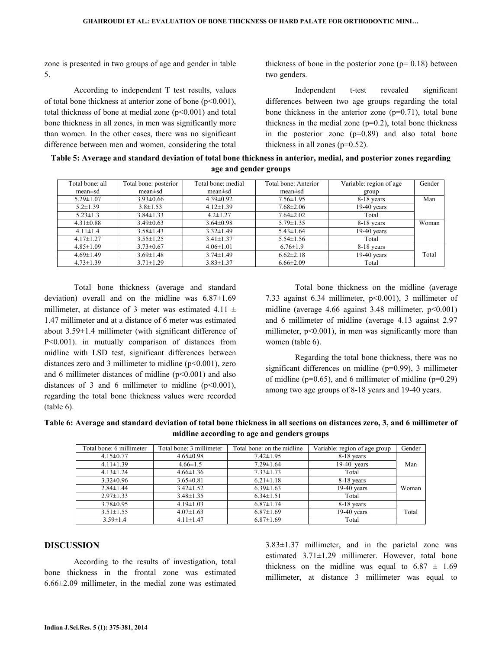zone is presented in two groups of age and gender in table 5.

 According to independent T test results, values of total bone thickness at anterior zone of bone  $(p<0.001)$ , total thickness of bone at medial zone  $(p<0.001)$  and total bone thickness in all zones, in men was significantly more than women. In the other cases, there was no significant difference between men and women, considering the total thickness of bone in the posterior zone  $(p= 0.18)$  between two genders.

 Independent t-test revealed significant differences between two age groups regarding the total bone thickness in the anterior zone  $(p=0.71)$ , total bone thickness in the medial zone  $(p=0.2)$ , total bone thickness in the posterior zone  $(p=0.89)$  and also total bone thickness in all zones  $(p=0.52)$ .

Table 5: Average and standard deviation of total bone thickness in anterior, medial, and posterior zones regarding age and gender groups

| Total bone: all | Total bone: posterior | Total bone: medial | Total bone: Anterior | Variable: region of age | Gender |
|-----------------|-----------------------|--------------------|----------------------|-------------------------|--------|
| mean±sd         | mean±sd               | mean±sd            | mean±sd              | group                   |        |
| $5.29 \pm 1.07$ | $3.93 \pm 0.66$       | $4.39 \pm 0.92$    | $7.56 \pm 1.95$      | 8-18 years              | Man    |
| $5.2 \pm 1.39$  | $3.8 \pm 1.53$        | $4.12 \pm 1.39$    | $7.68 \pm 2.06$      | $19-40$ years           |        |
| $5.23 \pm 1.3$  | $3.84 \pm 1.33$       | $4.2 \pm 1.27$     | $7.64 \pm 2.02$      | Total                   |        |
| $4.31 \pm 0.88$ | $3.49\pm0.63$         | $3.64 \pm 0.98$    | $5.79 \pm 1.35$      | 8-18 years              | Woman  |
| $4.11 \pm 1.4$  | $3.58 \pm 1.43$       | $3.32 \pm 1.49$    | $5.43 \pm 1.64$      | $19-40$ years           |        |
| $4.17 \pm 1.27$ | $3.55 \pm 1.25$       | $3.41 \pm 1.37$    | $5.54 \pm 1.56$      | Total                   |        |
| $4.85 \pm 1.09$ | $3.73 \pm 0.67$       | $4.06 \pm 1.01$    | $6.76 \pm 1.9$       | 8-18 years              |        |
| $4.69 \pm 1.49$ | $3.69 \pm 1.48$       | $3.74 \pm 1.49$    | $6.62 \pm 2.18$      | $19-40$ years           | Total  |
| $4.73 \pm 1.39$ | $3.71 \pm 1.29$       | $3.83 \pm 1.37$    | $6.66 \pm 2.09$      | Total                   |        |

 Total bone thickness (average and standard deviation) overall and on the midline was  $6.87\pm1.69$ millimeter, at distance of 3 meter was estimated 4.11  $\pm$ 1.47 millimeter and at a distance of 6 meter was estimated about 3.59±1.4 millimeter (with significant difference of P<0.001). in mutually comparison of distances from midline with LSD test, significant differences between distances zero and 3 millimeter to midline  $(p<0.001)$ , zero and 6 millimeter distances of midline  $(p<0.001)$  and also distances of 3 and 6 millimeter to midline  $(p<0.001)$ , regarding the total bone thickness values were recorded (table 6).

 Total bone thickness on the midline (average 7.33 against 6.34 millimeter, p<0.001), 3 millimeter of midline (average 4.66 against 3.48 millimeter, p<0.001) and 6 millimeter of midline (average 4.13 against 2.97 millimeter,  $p<0.001$ ), in men was significantly more than women (table 6).

 Regarding the total bone thickness, there was no significant differences on midline (p=0.99), 3 millimeter of midline ( $p=0.65$ ), and 6 millimeter of midline ( $p=0.29$ ) among two age groups of 8-18 years and 19-40 years.

Table 6: Average and standard deviation of total bone thickness in all sections on distances zero, 3, and 6 millimeter of midline according to age and genders groups

| Total bone: 6 millimeter | Total bone: 3 millimeter | Total bone: on the midline | Variable: region of age group | Gender |
|--------------------------|--------------------------|----------------------------|-------------------------------|--------|
| $4.15 \pm 0.77$          | $4.65 \pm 0.98$          | $7.42 \pm 1.95$            | 8-18 years                    |        |
| $4.11 \pm 1.39$          | $4.66 \pm 1.5$           | $7.29 \pm 1.64$            | $19-40$ years                 | Man    |
| $4.13 \pm 1.24$          | $4.66 \pm 1.36$          | $7.33 \pm 1.73$            | Total                         |        |
| $3.32\pm0.96$            | $3.65 \pm 0.81$          | $6.21 \pm 1.18$            | 8-18 years                    |        |
| $2.84 \pm 1.44$          | $3.42 \pm 1.52$          | $6.39 \pm 1.63$            | $19-40$ years                 | Woman  |
| $2.97 \pm 1.33$          | $3.48 \pm 1.35$          | $6.34 \pm 1.51$            | Total                         |        |
| $3.78 \pm 0.95$          | $4.19 \pm 1.03$          | $6.87 \pm 1.74$            | 8-18 years                    |        |
| $3.51 \pm 1.55$          | $4.07 \pm 1.63$          | $6.87 \pm 1.69$            | $19-40$ years                 | Total  |
| $3.59 \pm 1.4$           | $4.11 \pm 1.47$          | $6.87 \pm 1.69$            | Total                         |        |

### DISCUSSION

 According to the results of investigation, total bone thickness in the frontal zone was estimated 6.66±2.09 millimeter, in the medial zone was estimated 3.83±1.37 millimeter, and in the parietal zone was estimated 3.71±1.29 millimeter. However, total bone thickness on the midline was equal to  $6.87 \pm 1.69$ millimeter, at distance 3 millimeter was equal to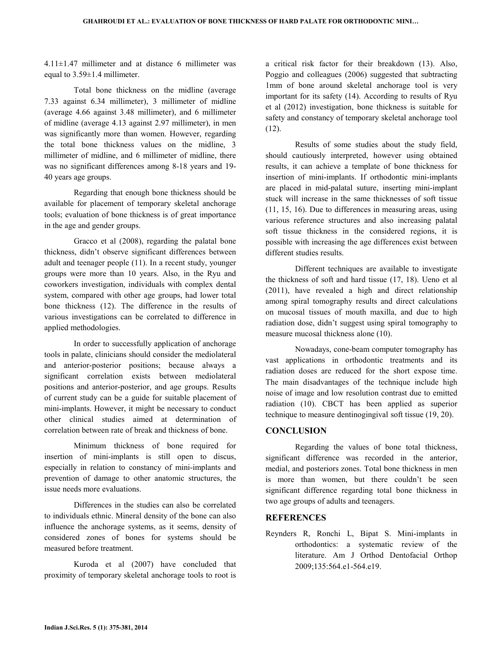$4.11\pm1.47$  millimeter and at distance 6 millimeter was equal to 3.59±1.4 millimeter.

 Total bone thickness on the midline (average 7.33 against 6.34 millimeter), 3 millimeter of midline (average 4.66 against 3.48 millimeter), and 6 millimeter of midline (average 4.13 against 2.97 millimeter), in men was significantly more than women. However, regarding the total bone thickness values on the midline, 3 millimeter of midline, and 6 millimeter of midline, there was no significant differences among 8-18 years and 19- 40 years age groups.

 Regarding that enough bone thickness should be available for placement of temporary skeletal anchorage tools; evaluation of bone thickness is of great importance in the age and gender groups.

 Gracco et al (2008), regarding the palatal bone thickness, didn't observe significant differences between adult and teenager people (11). In a recent study, younger groups were more than 10 years. Also, in the Ryu and coworkers investigation, individuals with complex dental system, compared with other age groups, had lower total bone thickness (12). The difference in the results of various investigations can be correlated to difference in applied methodologies.

 In order to successfully application of anchorage tools in palate, clinicians should consider the mediolateral and anterior-posterior positions; because always a significant correlation exists between mediolateral positions and anterior-posterior, and age groups. Results of current study can be a guide for suitable placement of mini-implants. However, it might be necessary to conduct other clinical studies aimed at determination of correlation between rate of break and thickness of bone.

 Minimum thickness of bone required for insertion of mini-implants is still open to discus, especially in relation to constancy of mini-implants and prevention of damage to other anatomic structures, the issue needs more evaluations.

 Differences in the studies can also be correlated to individuals ethnic. Mineral density of the bone can also influence the anchorage systems, as it seems, density of considered zones of bones for systems should be measured before treatment.

 Kuroda et al (2007) have concluded that proximity of temporary skeletal anchorage tools to root is

a critical risk factor for their breakdown (13). Also, Poggio and colleagues (2006) suggested that subtracting 1mm of bone around skeletal anchorage tool is very important for its safety (14). According to results of Ryu et al (2012) investigation, bone thickness is suitable for safety and constancy of temporary skeletal anchorage tool (12).

 Results of some studies about the study field, should cautiously interpreted, however using obtained results, it can achieve a template of bone thickness for insertion of mini-implants. If orthodontic mini-implants are placed in mid-palatal suture, inserting mini-implant stuck will increase in the same thicknesses of soft tissue (11, 15, 16). Due to differences in measuring areas, using various reference structures and also increasing palatal soft tissue thickness in the considered regions, it is possible with increasing the age differences exist between different studies results.

 Different techniques are available to investigate the thickness of soft and hard tissue (17, 18). Ueno et al (2011), have revealed a high and direct relationship among spiral tomography results and direct calculations on mucosal tissues of mouth maxilla, and due to high radiation dose, didn't suggest using spiral tomography to measure mucosal thickness alone (10).

 Nowadays, cone-beam computer tomography has vast applications in orthodontic treatments and its radiation doses are reduced for the short expose time. The main disadvantages of the technique include high noise of image and low resolution contrast due to emitted radiation (10). CBCT has been applied as superior technique to measure dentinogingival soft tissue (19, 20).

#### **CONCLUSION**

 Regarding the values of bone total thickness, significant difference was recorded in the anterior, medial, and posteriors zones. Total bone thickness in men is more than women, but there couldn't be seen significant difference regarding total bone thickness in two age groups of adults and teenagers.

### **REFERENCES**

Reynders R, Ronchi L, Bipat S. Mini-implants in orthodontics: a systematic review of the literature. Am J Orthod Dentofacial Orthop 2009;135:564.e1-564.e19.